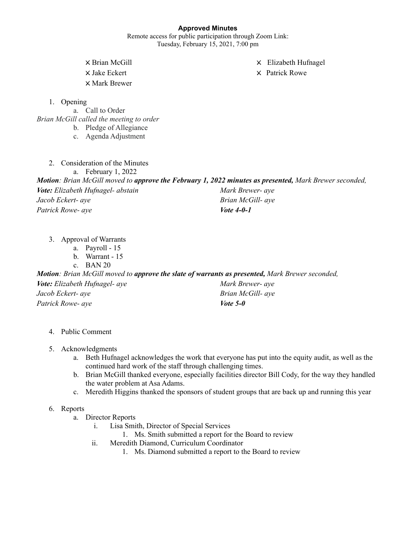## **Approved Minutes**

Remote access for public participation through Zoom Link: Tuesday, February 15, 2021, 7:00 pm

X Brian McGill X Elizabeth Hufnagel

 $\times$  Jake Eckert  $\times$  Patrick Rowe X Mark Brewer

1. Opening

a. Call to Order *Brian McGill called the meeting to order* b. Pledge of Allegiance

c. Agenda Adjustment

2. Consideration of the Minutes a. February 1, 2022 *Motion: Brian McGill moved to approve the February 1, 2022 minutes as presented, Mark Brewer seconded, Vote: Elizabeth Hufnagel- abstain Jacob Eckert- aye Patrick Rowe- aye Mark Brewer- aye Brian McGill- aye Vote 4-0-1*

- 3. Approval of Warrants
	- a. Payroll 15
	- b. Warrant 15
	- c. BAN 20

*Motion: Brian McGill moved to approve the slate of warrants as presented, Mark Brewer seconded, Vote: Elizabeth Hufnagel- aye Jacob Eckert- aye Patrick Rowe- aye Mark Brewer- aye Brian McGill- aye Vote 5-0*

- 4. Public Comment
- 5. Acknowledgments
	- a. Beth Hufnagel acknowledges the work that everyone has put into the equity audit, as well as the continued hard work of the staff through challenging times.
	- b. Brian McGill thanked everyone, especially facilities director Bill Cody, for the way they handled the water problem at Asa Adams.
	- c. Meredith Higgins thanked the sponsors of student groups that are back up and running this year

## 6. Reports

- a. Director Reports
	- i. Lisa Smith, Director of Special Services
		- 1. Ms. Smith submitted a report for the Board to review
	- ii. Meredith Diamond, Curriculum Coordinator
		- 1. Ms. Diamond submitted a report to the Board to review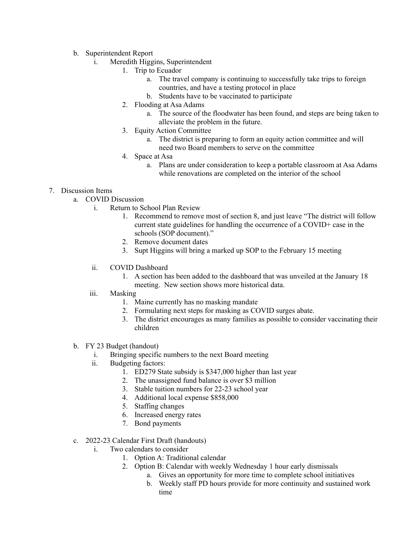- b. Superintendent Report
	- i. Meredith Higgins, Superintendent
		- 1. Trip to Ecuador
			- a. The travel company is continuing to successfully take trips to foreign countries, and have a testing protocol in place
			- b. Students have to be vaccinated to participate
			- 2. Flooding at Asa Adams
				- a. The source of the floodwater has been found, and steps are being taken to alleviate the problem in the future.
			- 3. Equity Action Committee
				- a. The district is preparing to form an equity action committee and will need two Board members to serve on the committee
			- 4. Space at Asa
				- a. Plans are under consideration to keep a portable classroom at Asa Adams while renovations are completed on the interior of the school

# 7. Discussion Items

- a. COVID Discussion
	- i. Return to School Plan Review
		- 1. Recommend to remove most of section 8, and just leave "The district will follow current state guidelines for handling the occurrence of a COVID+ case in the schools (SOP document)."
		- 2. Remove document dates
		- 3. Supt Higgins will bring a marked up SOP to the February 15 meeting
	- ii. COVID Dashboard
		- 1. A section has been added to the dashboard that was unveiled at the January 18 meeting. New section shows more historical data.
	- iii. Masking
		- 1. Maine currently has no masking mandate
		- 2. Formulating next steps for masking as COVID surges abate.
		- 3. The district encourages as many families as possible to consider vaccinating their children
- b. FY 23 Budget (handout)
	- i. Bringing specific numbers to the next Board meeting
	- ii. Budgeting factors:
		- 1. ED279 State subsidy is \$347,000 higher than last year
		- 2. The unassigned fund balance is over \$3 million
		- 3. Stable tuition numbers for 22-23 school year
		- 4. Additional local expense \$858,000
		- 5. Staffing changes
		- 6. Increased energy rates
		- 7. Bond payments
- c. 2022-23 Calendar First Draft (handouts)
	- i. Two calendars to consider
		- 1. Option A: Traditional calendar
			- 2. Option B: Calendar with weekly Wednesday 1 hour early dismissals
				- a. Gives an opportunity for more time to complete school initiatives
				- b. Weekly staff PD hours provide for more continuity and sustained work time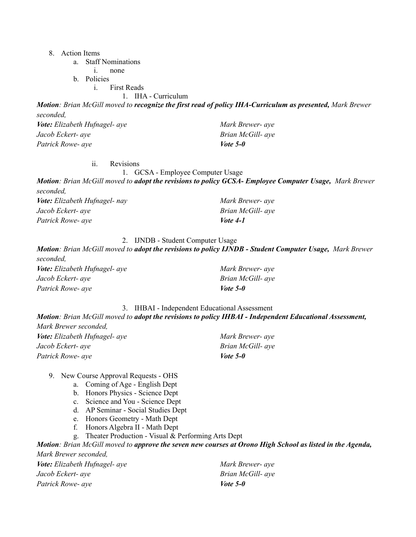### 8. Action Items

a. Staff Nominations

i. none

b. Policies

i. First Reads

1. IHA - Curriculum

*Motion: Brian McGill moved to recognize the first read of policy IHA-Curriculum as presented, Mark Brewer seconded, Vote: Elizabeth Hufnagel- aye Mark Brewer- aye*

*Jacob Eckert- aye Patrick Rowe- aye Brian McGill- aye Vote 5-0*

ii. Revisions

1. GCSA - Employee Computer Usage *Motion: Brian McGill moved to adopt the revisions to policy GCSA- Employee Computer Usage, Mark Brewer seconded, Vote: Elizabeth Hufnagel- nay Jacob Eckert- aye Patrick Rowe- aye Mark Brewer- aye Brian McGill- aye Vote 4-1*

### 2. IJNDB - Student Computer Usage

Motion: Brian McGill moved to adopt the revisions to policy IJNDB - Student Computer Usage, Mark Brewer *seconded, Vote: Elizabeth Hufnagel- aye Jacob Eckert- aye Patrick Rowe- aye Mark Brewer- aye Brian McGill- aye Vote 5-0*

#### 3. IHBAI - Independent Educational Assessment

*Motion: Brian McGill moved to adopt the revisions to policy IHBAI - Independent Educational Assessment, Mark Brewer seconded, Vote: Elizabeth Hufnagel- aye Jacob Eckert- aye Patrick Rowe- aye Mark Brewer- aye Brian McGill- aye Vote 5-0*

#### 9. New Course Approval Requests - OHS

- a. Coming of Age English Dept
- b. Honors Physics Science Dept
- c. Science and You Science Dept
- d. AP Seminar Social Studies Dept
- e. Honors Geometry Math Dept
- f. Honors Algebra II Math Dept
- g. Theater Production Visual & Performing Arts Dept

Motion: Brian McGill moved to approve the seven new courses at Orono High School as listed in the Agenda, *Mark Brewer seconded,*

*Vote: Elizabeth Hufnagel- aye Jacob Eckert- aye Patrick Rowe- aye*

*Mark Brewer- aye Brian McGill- aye Vote 5-0*